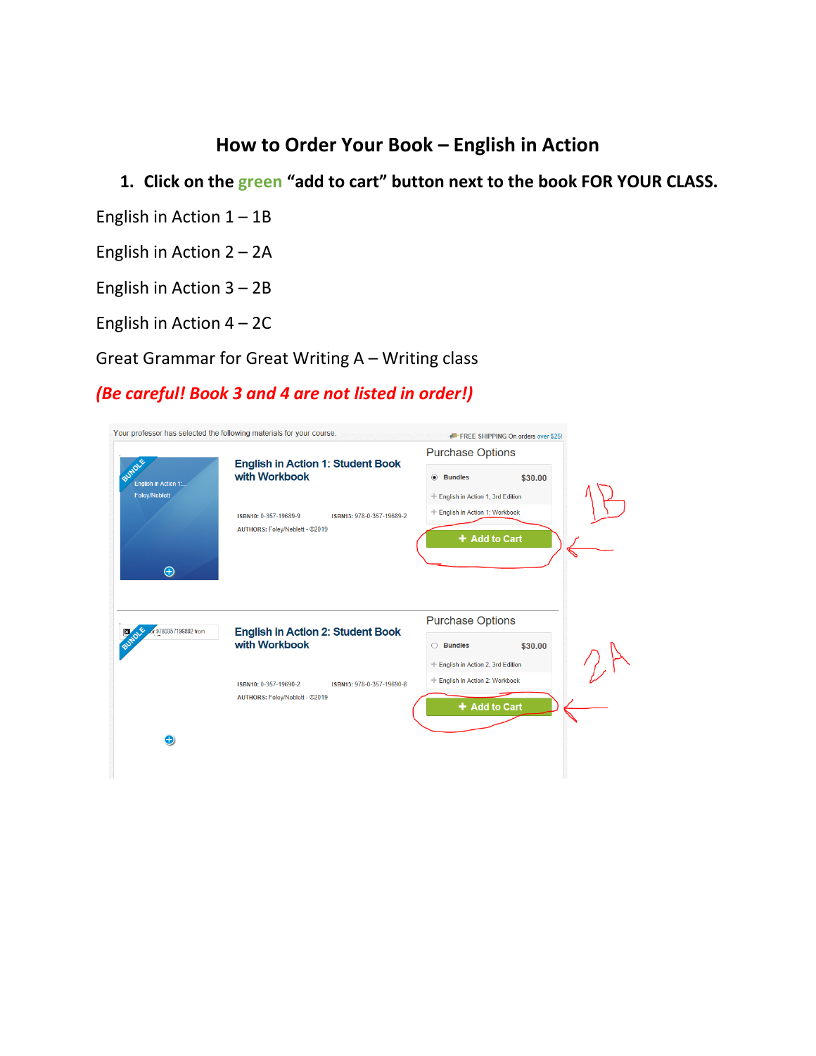### **How to Order Your Book – English in Action**

## **1. Click on the green "add to cart" button next to the book FOR YOUR CLASS.**

- English in Action 1 1B
- English in Action 2 2A
- English in Action 3 2B
- English in Action 4 2C

Great Grammar for Great Writing A – Writing class

### *(Be careful! Book 3 and 4 are not listed in order!)*

|                                 |                                                           | <b>Purchase Options</b>                       |  |
|---------------------------------|-----------------------------------------------------------|-----------------------------------------------|--|
| BUNDLE<br>English in Action 1:. | <b>English in Action 1: Student Book</b><br>with Workbook | <b>Bundles</b><br>\$30.00<br>$\circledbullet$ |  |
| <b>Foley/Neblett</b>            |                                                           | + English in Action 1, 3rd Edition            |  |
|                                 | ISBN10: 0-357-19689-9<br>ISBN13: 978-0-357-19689-2        | + English in Action 1: Workbook               |  |
|                                 | AUTHORS: Foley/Neblett - @2019                            | + Add to Cart                                 |  |
|                                 |                                                           |                                               |  |
| $\bigoplus$                     |                                                           |                                               |  |
|                                 |                                                           |                                               |  |
|                                 |                                                           |                                               |  |
|                                 |                                                           | <b>Purchase Options</b>                       |  |
| or 9780357196892 from           | <b>English in Action 2: Student Book</b><br>with Workbook | \$30,00<br><b>Bundles</b><br>∩                |  |
|                                 |                                                           | + English in Action 2, 3rd Edition            |  |
|                                 | ISBN10: 0-357-19690-2<br>ISBN13: 978-0-357-19690-8        | + English in Action 2: Workbook               |  |
|                                 | AUTHORS: Foley/Neblett - @2019                            | + Add to Cart                                 |  |
|                                 |                                                           |                                               |  |
| $\bigoplus$                     |                                                           |                                               |  |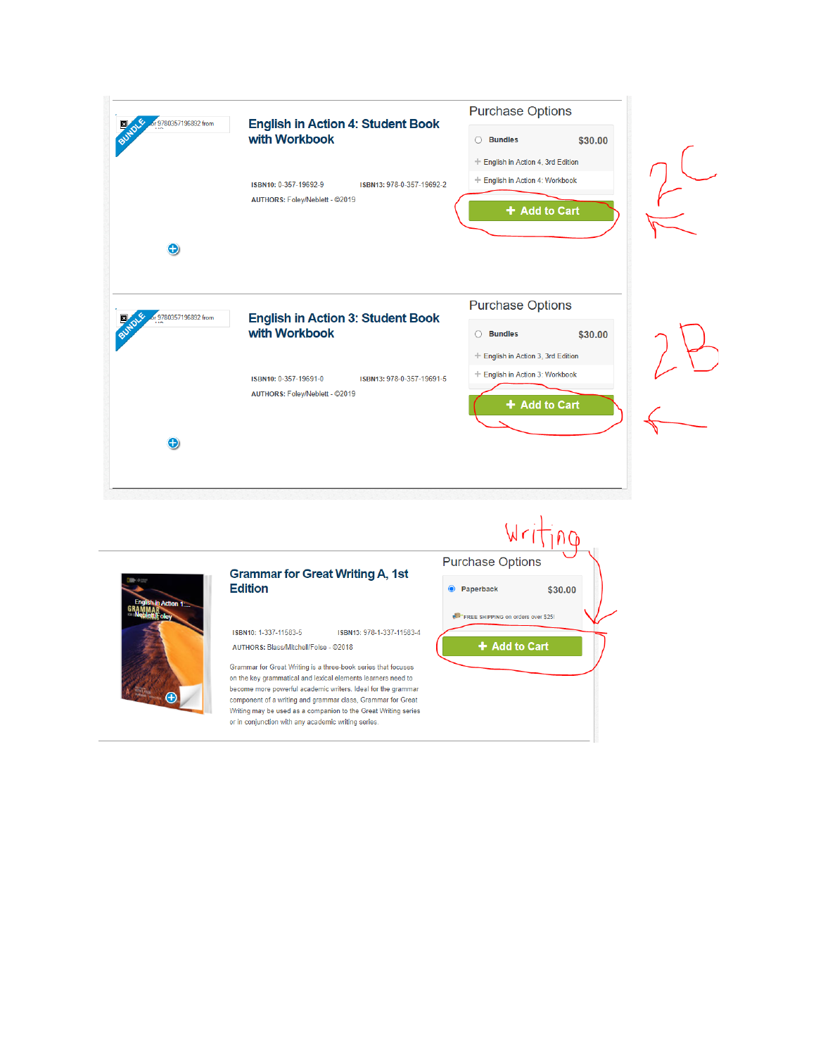



#### **Grammar for Great Writing A, 1st Edition**

ISBN10: 1-337-11583-5 ISBN13: 978-1-337-11583-4 AUTHORS: Blass/Mitchell/Folse - @2018

Grammar for Great Writing is a three-book series that focuses on the key grammatical and lexical elements learners need to become more powerful academic writers. Ideal for the grammar component of a writing and grammar class, Grammar for Great Writing may be used as a companion to the Great Writing series or in conjunction with any academic writing series.

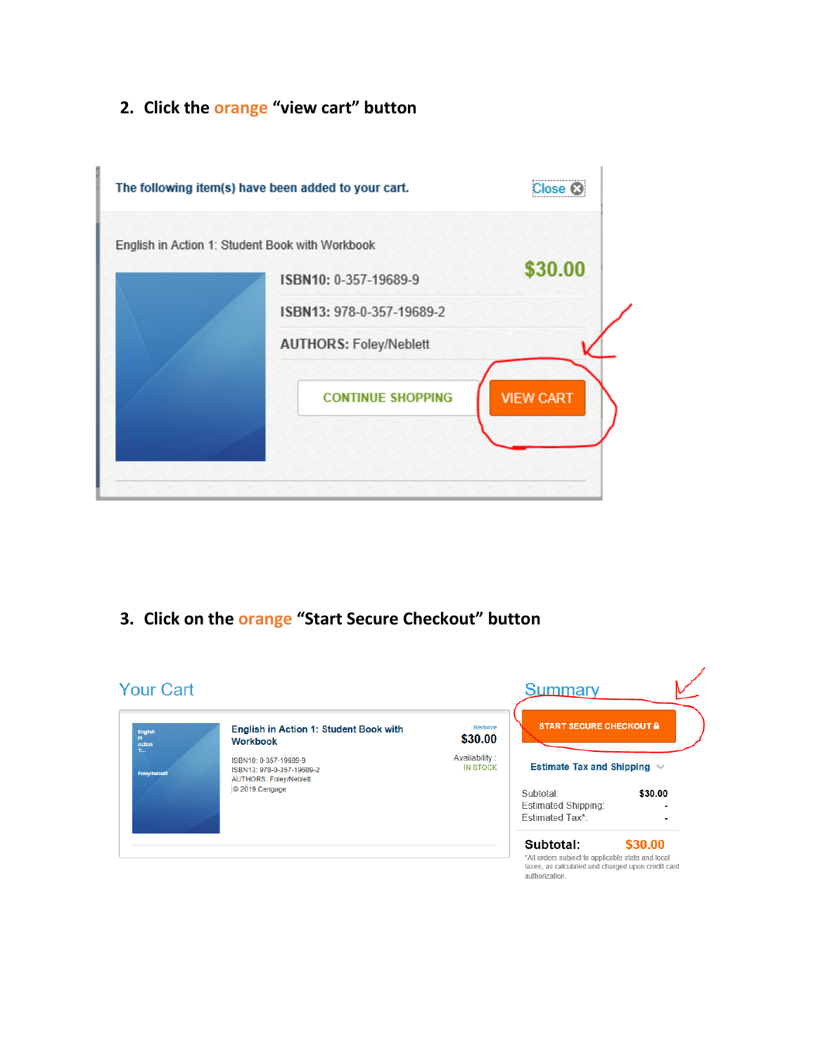### **2. Click the orange "view cart" button**



**3. Click on the orange "Start Secure Checkout" button**

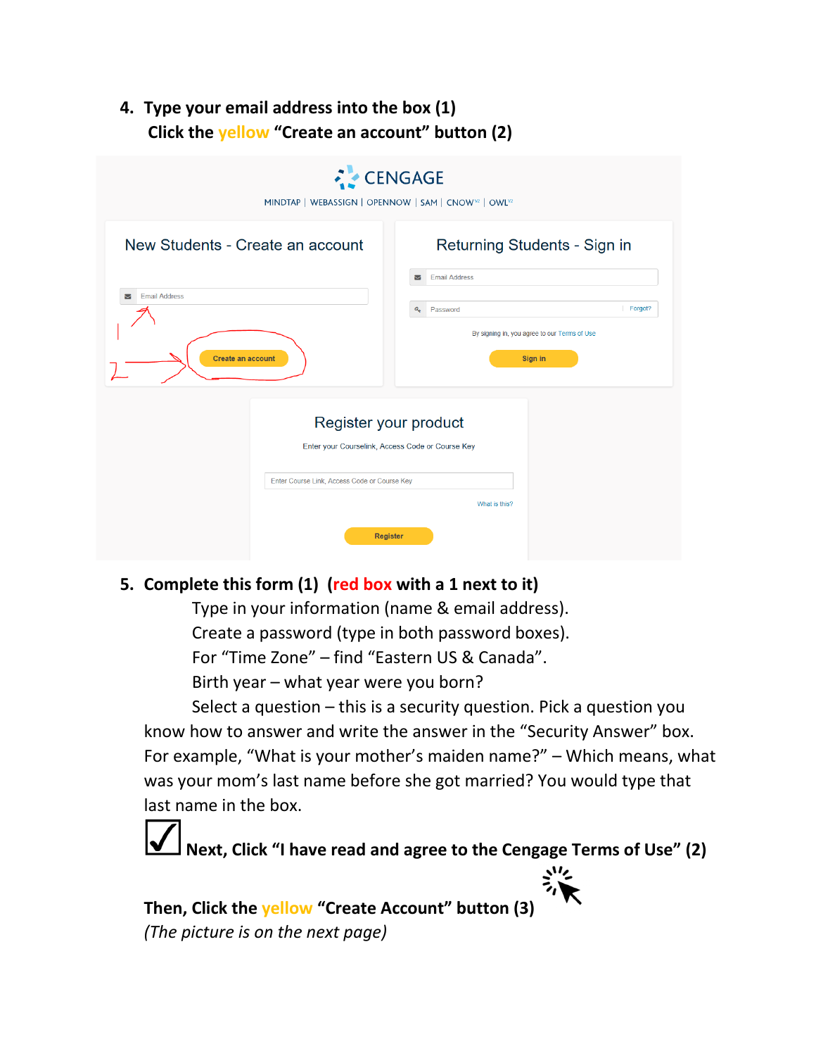### **4. Type your email address into the box (1) Click the yellow "Create an account" button (2)**

| MINDTAP   WEBASSIGN   OPENNOW   SAM   CNOW <sup>12</sup>   OWL <sup>12</sup>                                                          | <b>CENGAGE</b>                                                                                   |
|---------------------------------------------------------------------------------------------------------------------------------------|--------------------------------------------------------------------------------------------------|
| New Students - Create an account                                                                                                      | Returning Students - Sign in<br><b>Email Address</b><br>ы                                        |
| <b>Email Address</b><br>▽<br><b>Create an account</b>                                                                                 | Forgot?<br>$a_{\epsilon}$<br>Password<br>By signing in, you agree to our Terms of Use<br>Sign in |
| Register your product<br>Enter your Courselink, Access Code or Course Key<br>Enter Course Link, Access Code or Course Key<br>Register | What is this?                                                                                    |

### **5. Complete this form (1) (red box with a 1 next to it)**

Type in your information (name & email address). Create a password (type in both password boxes). For "Time Zone" – find "Eastern US & Canada". Birth year – what year were you born?

Select a question – this is a security question. Pick a question you know how to answer and write the answer in the "Security Answer" box. For example, "What is your mother's maiden name?" – Which means, what was your mom's last name before she got married? You would type that last name in the box.



**Then, Click the yellow "Create Account" button (3)** *(The picture is on the next page)*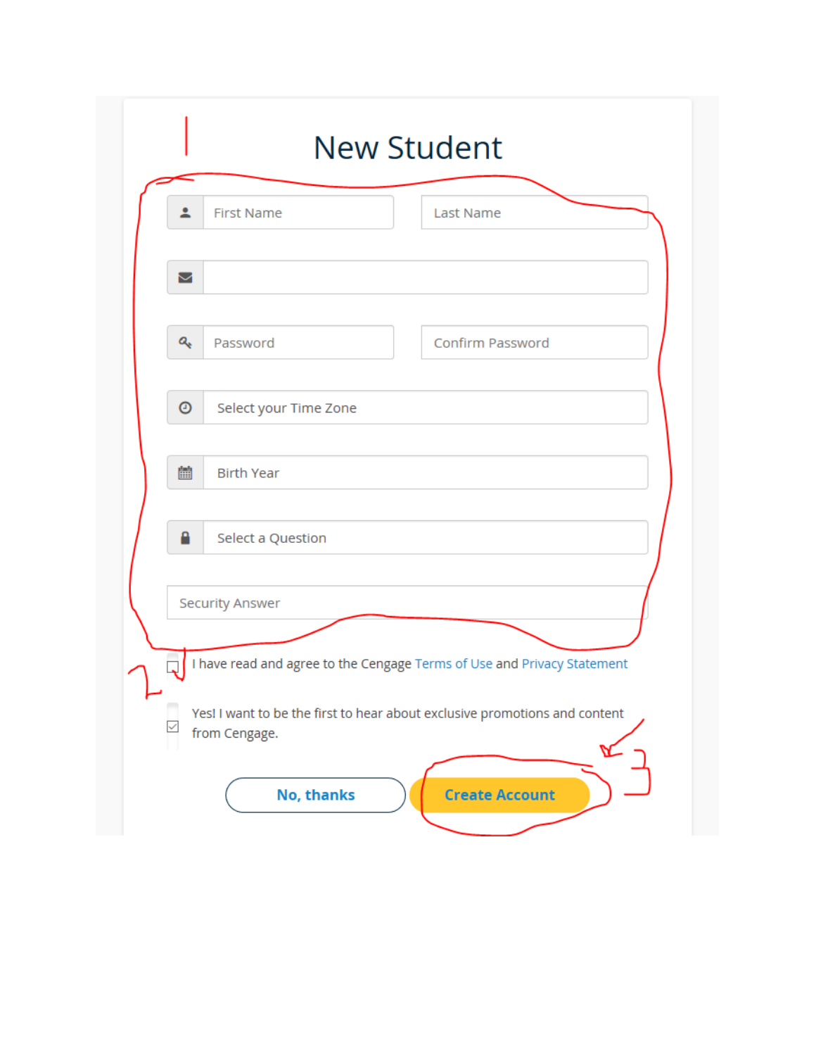| ≗ | <b>First Name</b>                                                                           | <b>Last Name</b> |  |
|---|---------------------------------------------------------------------------------------------|------------------|--|
| Σ |                                                                                             |                  |  |
| Q | Password                                                                                    | Confirm Password |  |
| 0 | Select your Time Zone                                                                       |                  |  |
| 論 | <b>Birth Year</b>                                                                           |                  |  |
| Α | Select a Question                                                                           |                  |  |
|   | <b>Security Answer</b>                                                                      |                  |  |
| ⊢ | I have read and agree to the Cengage Terms of Use and Privacy Statement                     |                  |  |
|   | Yes! I want to be the first to hear about exclusive promotions and content<br>from Cengage. |                  |  |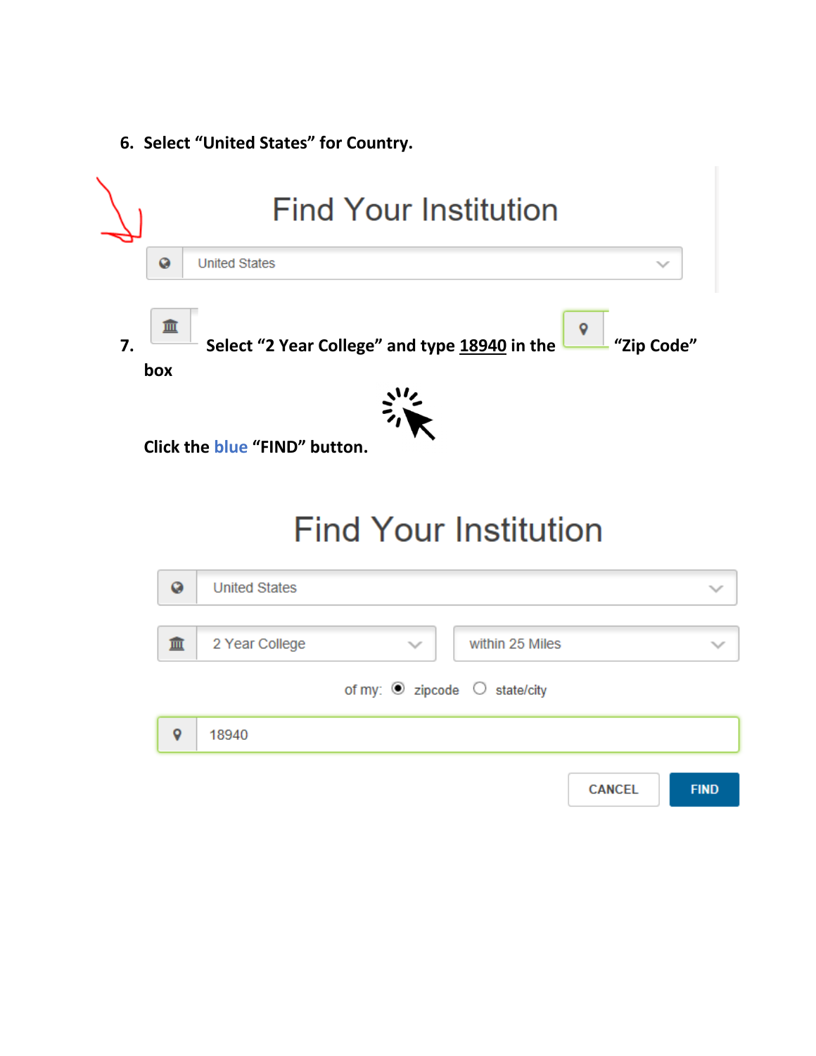**6. Select "United States" for Country.** 

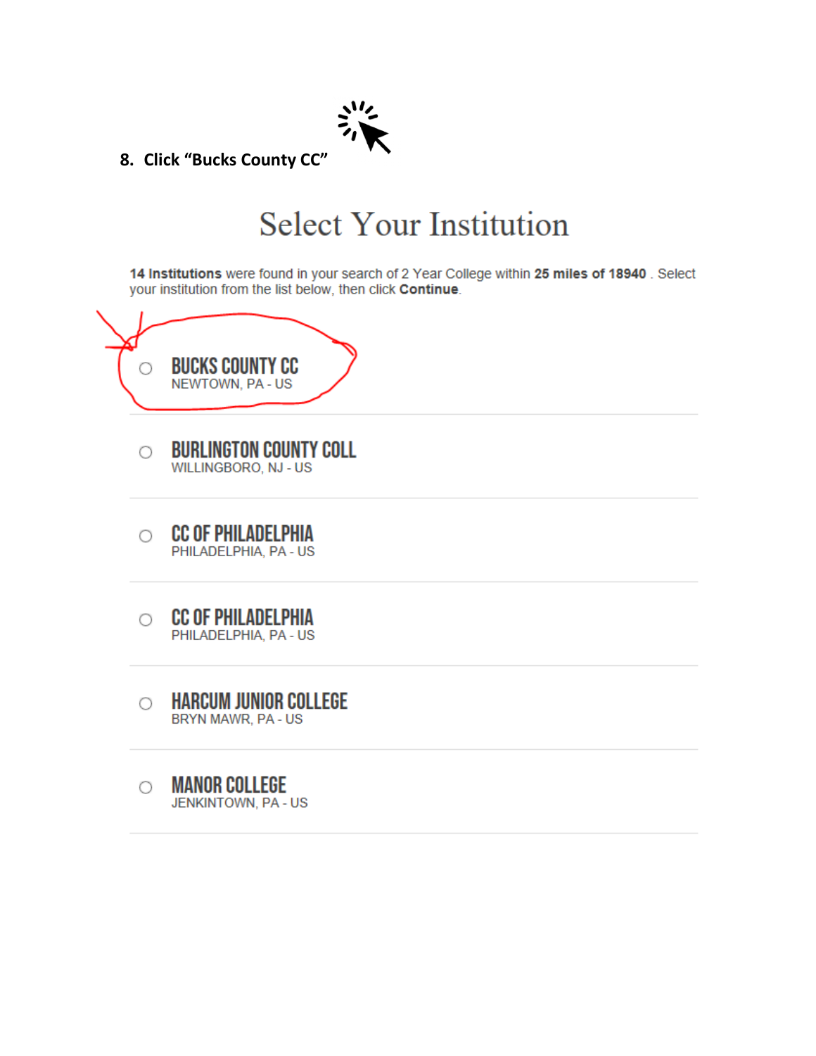

8. Click "Bucks County CC"

# **Select Your Institution**

14 Institutions were found in your search of 2 Year College within 25 miles of 18940. Select your institution from the list below, then click Continue.



- **BURLINGTON COUNTY COLL** О WILLINGBORO, NJ - US
- **CC OF PHILADELPHIA** O PHILADELPHIA, PA - US
- **CC OF PHILADELPHIA**  $\circ$ PHILADELPHIA, PA - US
- **HARCUM JUNIOR COLLEGE** O BRYN MAWR, PA - US
- **MANOR COLLEGE** O **JENKINTOWN, PA - US**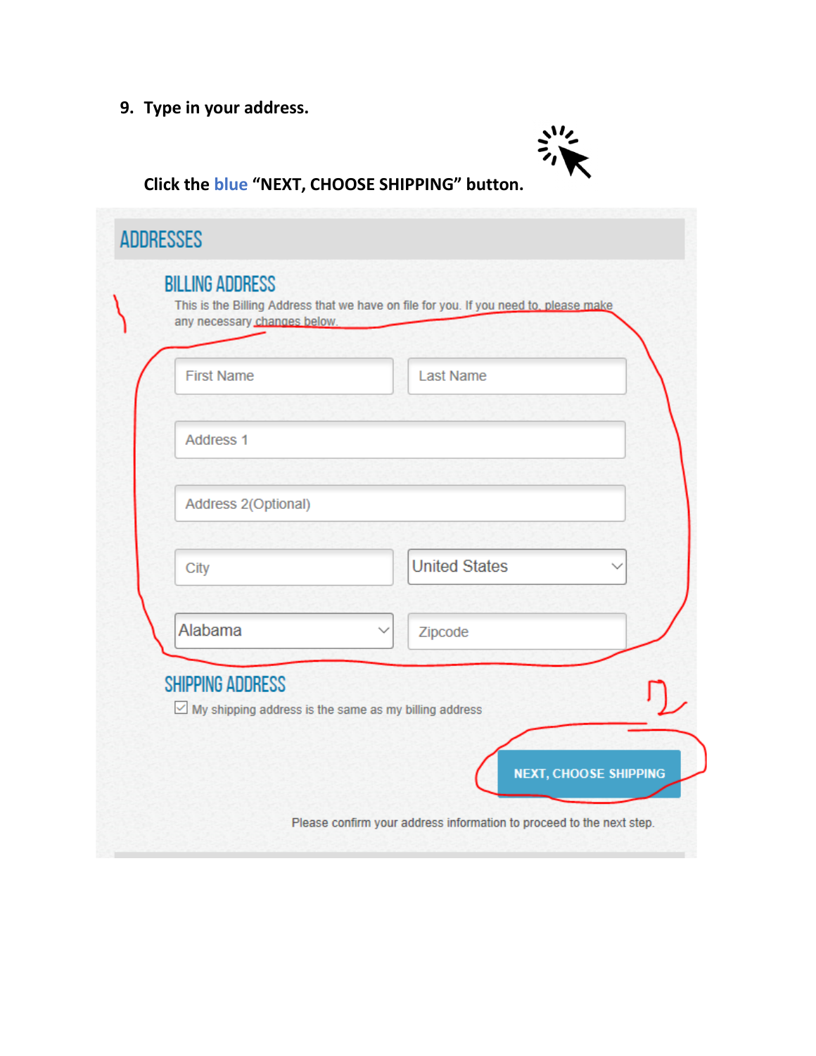# **9. Type in your address.**



# **Click the blue "NEXT, CHOOSE SHIPPING" button.**

| <b>First Name</b>       | <b>Last Name</b>                                             |
|-------------------------|--------------------------------------------------------------|
| Address <sub>1</sub>    |                                                              |
| Address 2(Optional)     |                                                              |
| City                    | <b>United States</b>                                         |
| Alabama                 | Zipcode                                                      |
| <b>SHIPPING ADDRESS</b> | $\vee$ My shipping address is the same as my billing address |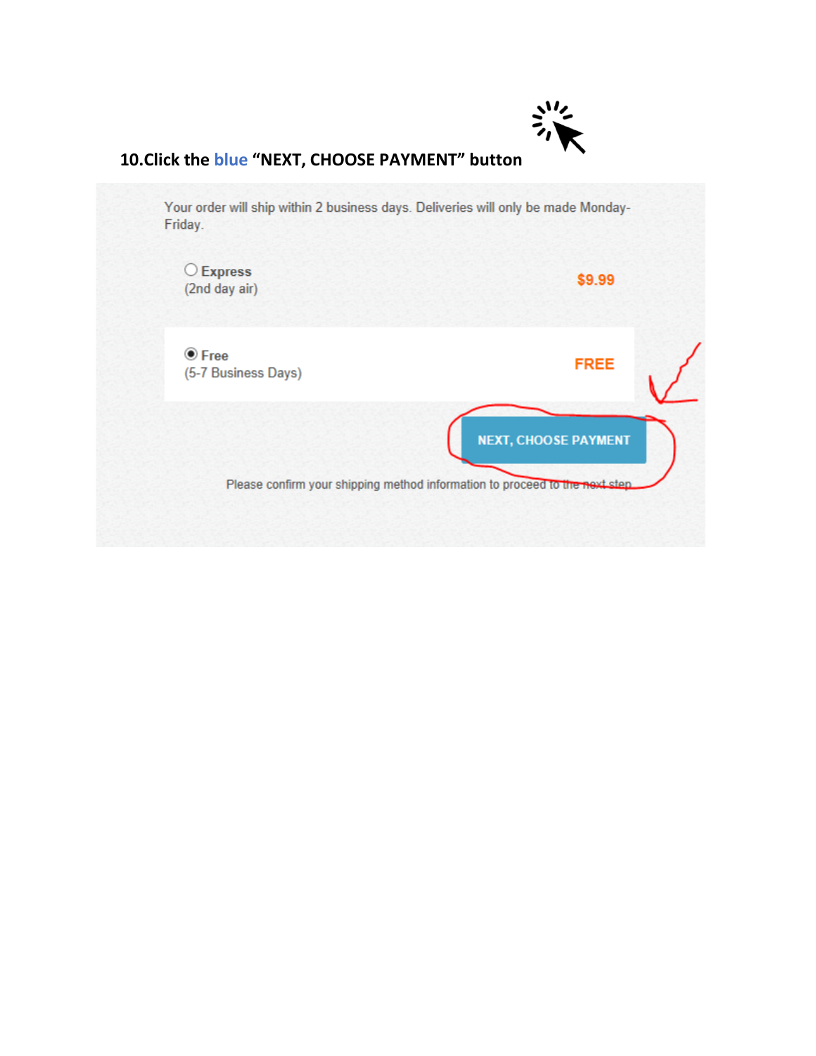

### **10.Click the blue "NEXT, CHOOSE PAYMENT" button**

Your order will ship within 2 business days. Deliveries will only be made Monday-Friday.

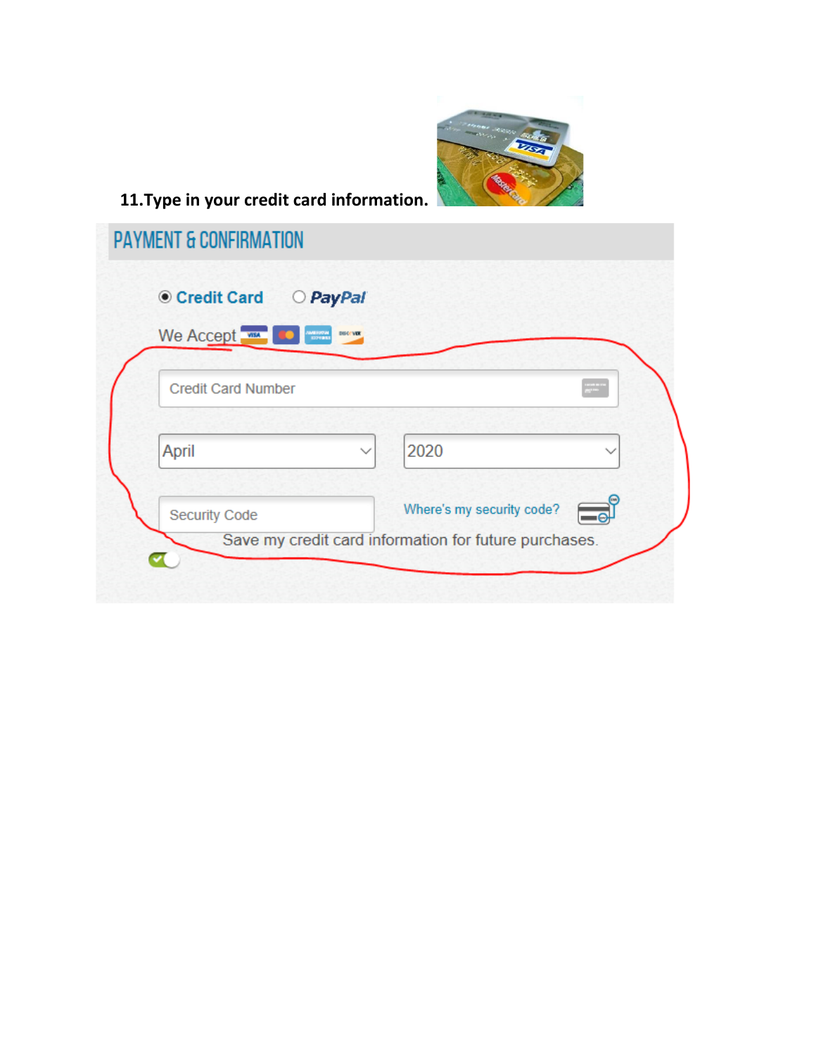

# **11.Type in your credit card information.**

| <b>◎ Credit Card</b>      | PayPal<br>$\circ$                     |                           |               |
|---------------------------|---------------------------------------|---------------------------|---------------|
| We Accept<br>Æ            | <b>DISCOVER</b><br>MERCHAN<br>ISTERNI |                           |               |
| <b>Credit Card Number</b> |                                       |                           | $\frac{1}{m}$ |
| April                     | $\checkmark$                          | 2020                      |               |
| Security Code             |                                       | Where's my security code? | =⊝            |